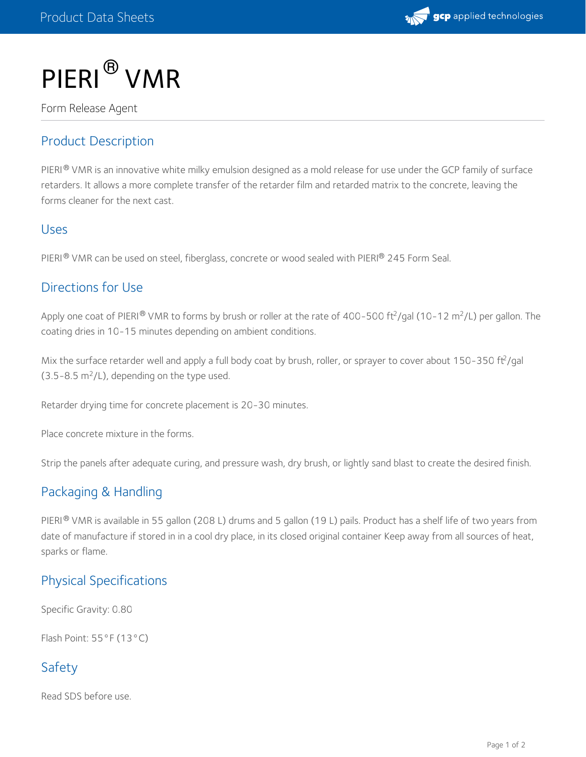

# PIERI ® VMR

Form Release Agent

#### Product Description

PIERI $^\circledR$  VMR is an innovative white milky emulsion designed as a mold release for use under the GCP family of surface retarders. It allows a more complete transfer of the retarder film and retarded matrix to the concrete, leaving the forms cleaner for the next cast.

#### Uses

PIERI® VMR can be used on steel, fiberglass, concrete or wood sealed with PIERI® 245 Form Seal.

#### Directions for Use

Apply one coat of PIERI® VMR to forms by brush or roller at the rate of 400-500 ft<sup>2</sup>/gal (10-12 m<sup>2</sup>/L) per gallon. The coating dries in 10-15 minutes depending on ambient conditions.

Mix the surface retarder well and apply a full body coat by brush, roller, or sprayer to cover about 150-350 ft<sup>2</sup>/gal  $(3.5-8.5 \text{ m}^2$ /L), depending on the type used.

Retarder drying time for concrete placement is 20-30 minutes.

Place concrete mixture in the forms.

Strip the panels after adequate curing, and pressure wash, dry brush, or lightly sand blast to create the desired finish.

## Packaging & Handling

PIERI® VMR is available in 55 gallon (208 L) drums and 5 gallon (19 L) pails. Product has a shelf life of two years from date of manufacture if stored in in a cool dry place, in its closed original container Keep away from all sources of heat, sparks or flame.

## Physical Specifications

Specific Gravity: 0.80

Flash Point: 55°F (13°C)

## Safety

Read SDS before use.